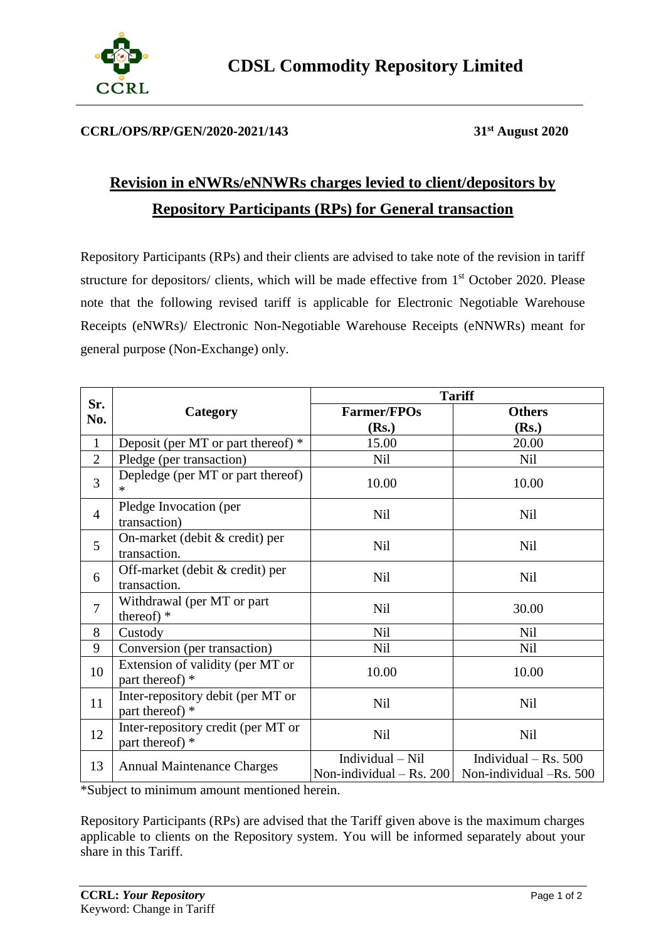

## **CCRL/OPS/RP/GEN/2020-2021/143 31st August 2020**

## **Revision in eNWRs/eNNWRs charges levied to client/depositors by Repository Participants (RPs) for General transaction**

Repository Participants (RPs) and their clients are advised to take note of the revision in tariff structure for depositors/ clients, which will be made effective from 1<sup>st</sup> October 2020. Please note that the following revised tariff is applicable for Electronic Negotiable Warehouse Receipts (eNWRs)/ Electronic Non-Negotiable Warehouse Receipts (eNNWRs) meant for general purpose (Non-Exchange) only.

|                |                                                       | <b>Tariff</b>                                  |                                                   |
|----------------|-------------------------------------------------------|------------------------------------------------|---------------------------------------------------|
| Sr.<br>No.     | Category                                              | <b>Farmer/FPOs</b>                             | <b>Others</b>                                     |
|                |                                                       | (Rs.)                                          | (Rs.)                                             |
| $\mathbf{1}$   | Deposit (per MT or part thereof) *                    | 15.00                                          | 20.00                                             |
| $\overline{2}$ | Pledge (per transaction)                              | Nil                                            | Nil                                               |
| 3              | Depledge (per MT or part thereof)                     | 10.00                                          | 10.00                                             |
| $\overline{4}$ | Pledge Invocation (per<br>transaction)                | Nil                                            | Nil                                               |
| 5              | On-market (debit & credit) per<br>transaction.        | Nil                                            | Nil                                               |
| 6              | Off-market (debit & credit) per<br>transaction.       | Nil                                            | Nil                                               |
| $\overline{7}$ | Withdrawal (per MT or part<br>thereof) $*$            | Nil                                            | 30.00                                             |
| 8              | Custody                                               | <b>Nil</b>                                     | <b>Nil</b>                                        |
| 9              | Conversion (per transaction)                          | Nil                                            | <b>Nil</b>                                        |
| 10             | Extension of validity (per MT or<br>part thereof) *   | 10.00                                          | 10.00                                             |
| 11             | Inter-repository debit (per MT or<br>part thereof) *  | <b>Nil</b>                                     | <b>Nil</b>                                        |
| 12             | Inter-repository credit (per MT or<br>part thereof) * | Nil                                            | <b>Nil</b>                                        |
| 13             | <b>Annual Maintenance Charges</b>                     | Individual - Nil<br>Non-individual $-$ Rs. 200 | Individual – Rs. $500$<br>Non-individual -Rs. 500 |

\*Subject to minimum amount mentioned herein.

Repository Participants (RPs) are advised that the Tariff given above is the maximum charges applicable to clients on the Repository system. You will be informed separately about your share in this Tariff.